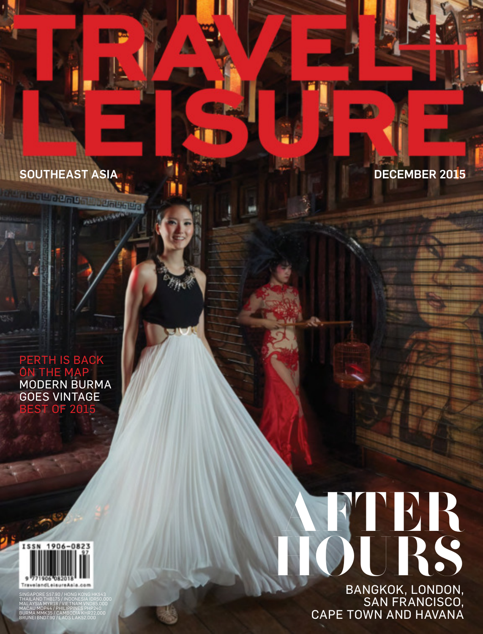SOUTHEAST ASIA DECEMBER 2015

**PERMIT AND REAL** 

### PERTH IS BACK **THE MAP** MODERN BURMA GOES VINTAGE **ST OF 2015**



SINGAPORE S\$7.90 / HONG KONG HK\$43 THAILAND THB175 / INDONESIA IDR50,000<br>MALAYSIA MYR18 / VIETNAM VND85,000<br>BACAU MOP44 / PHILIPPINES PHP240<br>BRUMA MMK35 / CAMBODIA KHR22,000<br>BRUNEI BND7.90 / LAOS LAK52,000

# AFTER HOURS BANGKOK, LONDON,

SAN FRANCISCO, CAPE TOWN AND HAVANA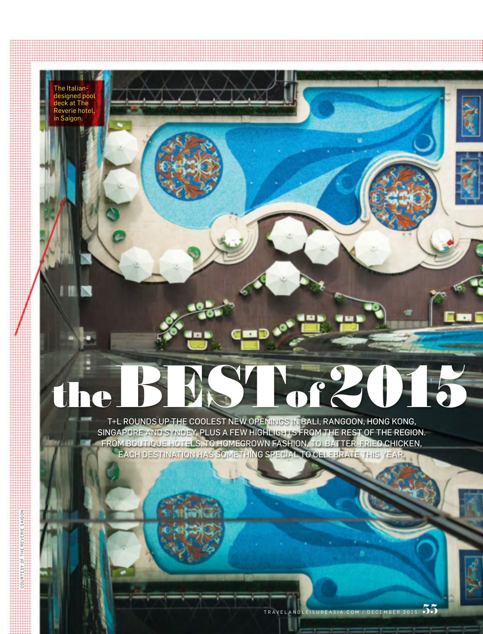a Italia designed pool deck at The erie hotel in Saigon.

п

COURTESY OF THE REVERIE SAIGON

 $\approx$  $\frac{1}{\alpha}$ 

## the 2016

T+L ROUNDS UP THE COOLEST NEW OPENINGS IN BALI, RANGOON, HONG KONG, SINGAPORE AND SYNDEY, PLUS A FEW HIGHLIGHTS FROM THE REST OF THE REGION. FROM BOUTIQUE HOTELS, TO HOMEGROWN FASHION, TO BATTER-FRIED CHICKEN, EACH DESTINATION HAS SOMETHING SPECIAL TO CELEBRATE THIS YEAR.